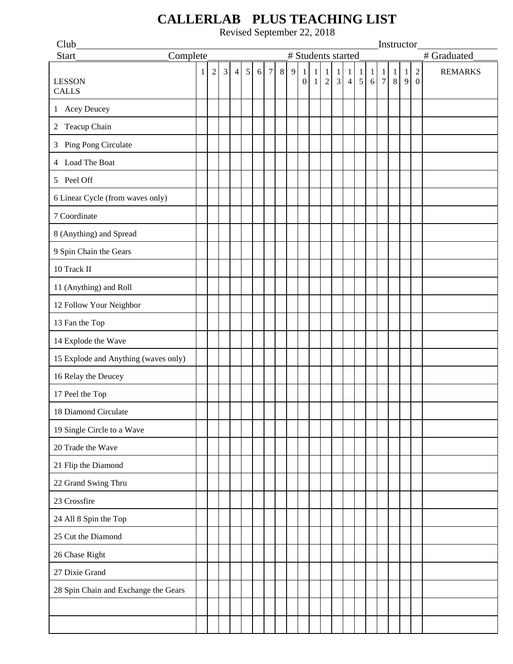## Club Instructor Start Complete + Students started + Graduated LESSON CALLS  $1 \ 2 \ 3 \ 4 \ 5 \ 6 \ 7 \ 8 \ 9$ 0 1 1 1 2 1 3 1 4 1 5 1 6 7 8 1 1 1 9 2 0 REMARKS 1 Acey Deucey 2 Teacup Chain 3 Ping Pong Circulate 4 Load The Boat 5 Peel Off 6 Linear Cycle (from waves only) 7 Coordinate 8 (Anything) and Spread 9 Spin Chain the Gears 10 Track II 11 (Anything) and Roll 12 Follow Your Neighbor 13 Fan the Top 14 Explode the Wave 15 Explode and Anything (waves only) 16 Relay the Deucey 17 Peel the Top 18 Diamond Circulate 19 Single Circle to a Wave 20 Trade the Wave 21 Flip the Diamond 22 Grand Swing Thru 23 Crossfire 24 All 8 Spin the Top 25 Cut the Diamond 26 Chase Right 27 Dixie Grand 28 Spin Chain and Exchange the Gears

## **CALLERLAB PLUS TEACHING LIST**

Revised September 22, 2018